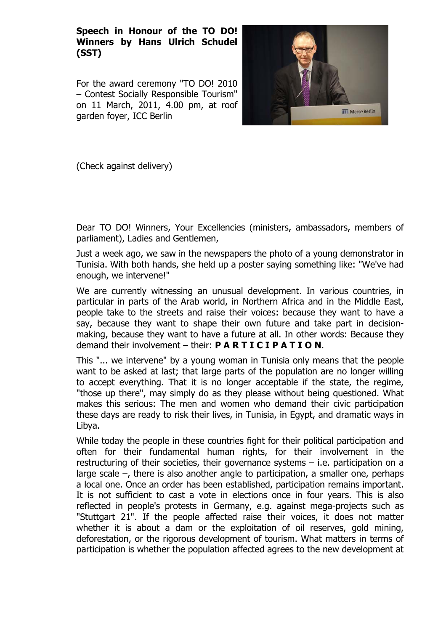**Speech in Honour of the TO DO! Winners by Hans Ulrich Schudel (SST)** 

For the award ceremony "TO DO! 2010 – Contest Socially Responsible Tourism" on 11 March, 2011, 4.00 pm, at roof garden foyer, ICC Berlin



(Check against delivery)

Dear TO DO! Winners, Your Excellencies (ministers, ambassadors, members of parliament), Ladies and Gentlemen,

Just a week ago, we saw in the newspapers the photo of a young demonstrator in Tunisia. With both hands, she held up a poster saying something like: "We've had enough, we intervene!"

We are currently witnessing an unusual development. In various countries, in particular in parts of the Arab world, in Northern Africa and in the Middle East, people take to the streets and raise their voices: because they want to have a say, because they want to shape their own future and take part in decisionmaking, because they want to have a future at all. In other words: Because they demand their involvement – their: **P A R T I C I P A T I O N**.

This "... we intervene" by a young woman in Tunisia only means that the people want to be asked at last; that large parts of the population are no longer willing to accept everything. That it is no longer acceptable if the state, the regime, "those up there", may simply do as they please without being questioned. What makes this serious: The men and women who demand their civic participation these days are ready to risk their lives, in Tunisia, in Egypt, and dramatic ways in Libya.

While today the people in these countries fight for their political participation and often for their fundamental human rights, for their involvement in the restructuring of their societies, their governance systems – i.e. participation on a large scale  $-$ , there is also another angle to participation, a smaller one, perhaps a local one. Once an order has been established, participation remains important. It is not sufficient to cast a vote in elections once in four years. This is also reflected in people's protests in Germany, e.g. against mega-projects such as "Stuttgart 21". If the people affected raise their voices, it does not matter whether it is about a dam or the exploitation of oil reserves, gold mining, deforestation, or the rigorous development of tourism. What matters in terms of participation is whether the population affected agrees to the new development at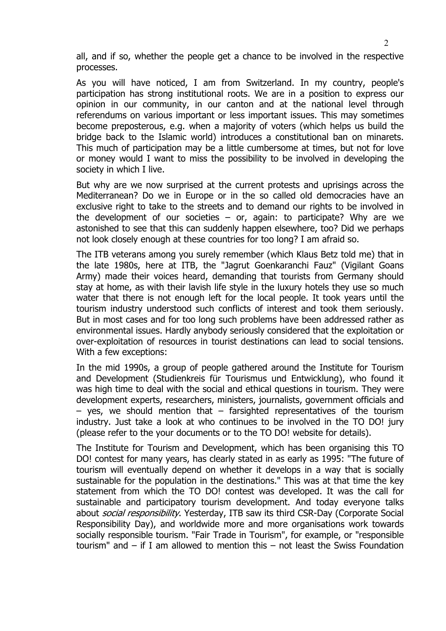all, and if so, whether the people get a chance to be involved in the respective processes.

As you will have noticed, I am from Switzerland. In my country, people's participation has strong institutional roots. We are in a position to express our opinion in our community, in our canton and at the national level through referendums on various important or less important issues. This may sometimes become preposterous, e.g. when a majority of voters (which helps us build the bridge back to the Islamic world) introduces a constitutional ban on minarets. This much of participation may be a little cumbersome at times, but not for love or money would I want to miss the possibility to be involved in developing the society in which I live.

But why are we now surprised at the current protests and uprisings across the Mediterranean? Do we in Europe or in the so called old democracies have an exclusive right to take to the streets and to demand our rights to be involved in the development of our societies  $-$  or, again: to participate? Why are we astonished to see that this can suddenly happen elsewhere, too? Did we perhaps not look closely enough at these countries for too long? I am afraid so.

The ITB veterans among you surely remember (which Klaus Betz told me) that in the late 1980s, here at ITB, the "Jagrut Goenkaranchi Fauz" (Vigilant Goans Army) made their voices heard, demanding that tourists from Germany should stay at home, as with their lavish life style in the luxury hotels they use so much water that there is not enough left for the local people. It took years until the tourism industry understood such conflicts of interest and took them seriously. But in most cases and for too long such problems have been addressed rather as environmental issues. Hardly anybody seriously considered that the exploitation or over-exploitation of resources in tourist destinations can lead to social tensions. With a few exceptions:

In the mid 1990s, a group of people gathered around the Institute for Tourism and Development (Studienkreis für Tourismus und Entwicklung), who found it was high time to deal with the social and ethical questions in tourism. They were development experts, researchers, ministers, journalists, government officials and  $-$  yes, we should mention that  $-$  farsighted representatives of the tourism industry. Just take a look at who continues to be involved in the TO DO! jury (please refer to the your documents or to the TO DO! website for details).

The Institute for Tourism and Development, which has been organising this TO DO! contest for many years, has clearly stated in as early as 1995: "The future of tourism will eventually depend on whether it develops in a way that is socially sustainable for the population in the destinations." This was at that time the key statement from which the TO DO! contest was developed. It was the call for sustainable and participatory tourism development. And today everyone talks about *social responsibility*. Yesterday, ITB saw its third CSR-Day (Corporate Social Responsibility Day), and worldwide more and more organisations work towards socially responsible tourism. "Fair Trade in Tourism", for example, or "responsible tourism" and – if I am allowed to mention this – not least the Swiss Foundation